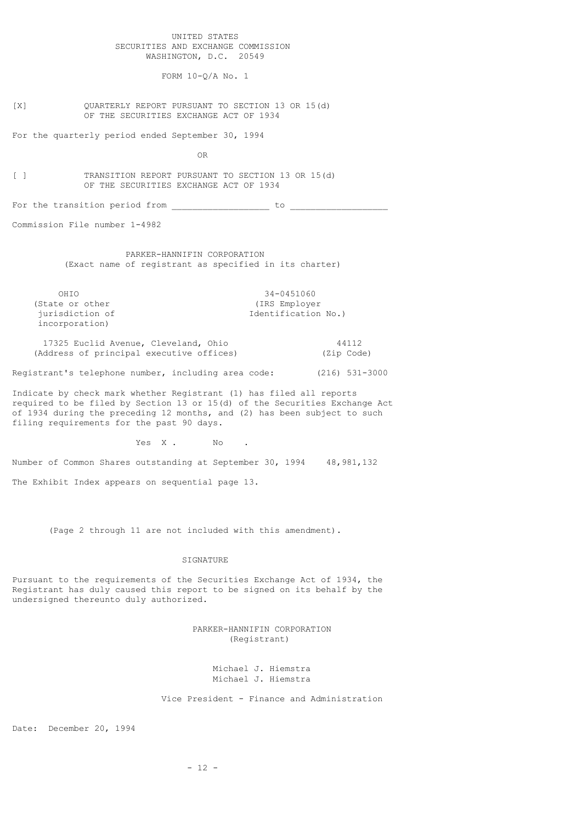UNITED STATES SECURITIES AND EXCHANGE COMMISSION WASHINGTON, D.C. 20549

FORM 10-Q/A No. 1

[X] QUARTERLY REPORT PURSUANT TO SECTION 13 OR 15(d) OF THE SECURITIES EXCHANGE ACT OF 1934

For the quarterly period ended September 30, 1994

**OR** Service Service Service Service Service Service Service Service Service Service Service Service Service Service Service Service Service Service Service Service Service Service Service Service Service Service Service S

[ ] TRANSITION REPORT PURSUANT TO SECTION 13 OR 15(d) OF THE SECURITIES EXCHANGE ACT OF 1934

For the transition period from \_\_\_\_\_\_\_\_\_\_\_\_\_\_\_\_\_\_\_ to \_\_\_\_\_\_\_\_\_\_\_\_\_\_\_\_\_\_\_

Commission File number 1-4982

 PARKER-HANNIFIN CORPORATION (Exact name of registrant as specified in its charter)

OHIO 34-0451060 (State or other  $(IRS\ Employer\ jurisdiction\ of$ Identification No.) incorporation)

 17325 Euclid Avenue, Cleveland, Ohio 44112 (Address of principal executive offices) (Zip Code)

Registrant's telephone number, including area code: (216) 531-3000

Indicate by check mark whether Registrant (1) has filed all reports required to be filed by Section 13 or 15(d) of the Securities Exchange Act of 1934 during the preceding 12 months, and (2) has been subject to such filing requirements for the past 90 days.

Yes X. No.

Number of Common Shares outstanding at September 30, 1994 48,981,132 The Exhibit Index appears on sequential page 13.

(Page 2 through 11 are not included with this amendment).

SIGNATURE

Pursuant to the requirements of the Securities Exchange Act of 1934, the Registrant has duly caused this report to be signed on its behalf by the undersigned thereunto duly authorized.

> PARKER-HANNIFIN CORPORATION (Registrant)

> > Michael J. Hiemstra Michael J. Hiemstra

Vice President - Finance and Administration

Date: December 20, 1994

 $- 12 -$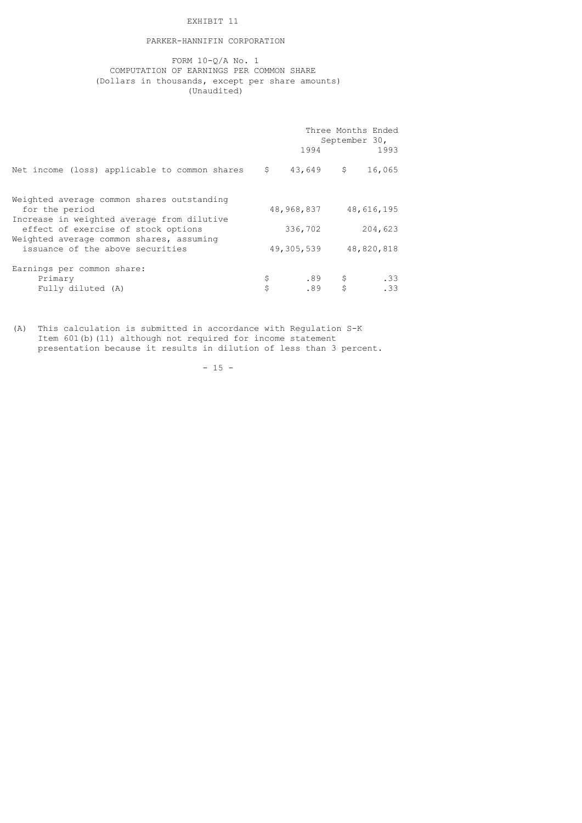## EXHIBIT 11

## PARKER-HANNIFIN CORPORATION

 FORM 10-Q/A No. 1 COMPUTATION OF EARNINGS PER COMMON SHARE (Dollars in thousands, except per share amounts) (Unaudited)

|                                                                                                                                                                                                                                   | Three Months Ended<br>September 30,<br>1994<br>1993 |                       |                                |            |
|-----------------------------------------------------------------------------------------------------------------------------------------------------------------------------------------------------------------------------------|-----------------------------------------------------|-----------------------|--------------------------------|------------|
| Net income (loss) applicable to common shares $\frac{2}{3}$ , 43,649 $\frac{2}{3}$                                                                                                                                                |                                                     |                       |                                | 16,065     |
| Weighted average common shares outstanding<br>for the period<br>Increase in weighted average from dilutive<br>effect of exercise of stock options<br>Weighted average common shares, assuming<br>issuance of the above securities |                                                     | 48,968,837 48,616,195 |                                |            |
|                                                                                                                                                                                                                                   | 336,702<br>204,623<br>48,820,818<br>49,305,539      |                       |                                |            |
| Earnings per common share:<br>Primary<br>Fully diluted (A)                                                                                                                                                                        | \$<br>Ś                                             | .89                   | $.89$ \$<br>$\hat{\mathbf{s}}$ | .33<br>.33 |

(A) This calculation is submitted in accordance with Regulation S-K Item 601(b)(11) although not required for income statement presentation because it results in dilution of less than 3 percent.

 $- 15 -$